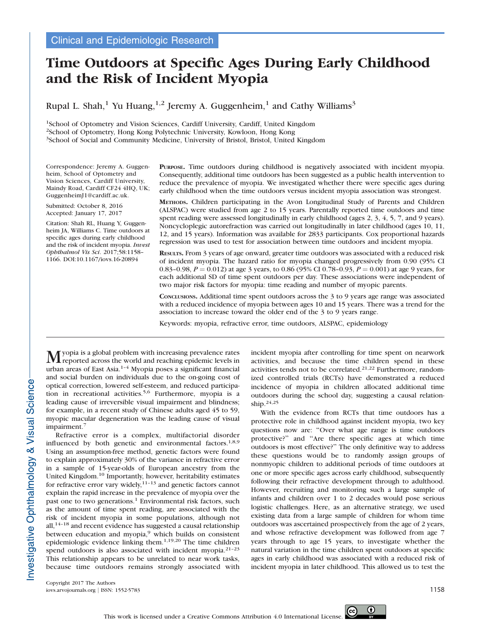# Time Outdoors at Specific Ages During Early Childhood and the Risk of Incident Myopia

Rupal L. Shah,<sup>1</sup> Yu Huang,<sup>1,2</sup> Jeremy A. Guggenheim,<sup>1</sup> and Cathy Williams<sup>3</sup>

<sup>1</sup>School of Optometry and Vision Sciences, Cardiff University, Cardiff, United Kingdom 2School of Optometry, Hong Kong Polytechnic University, Kowloon, Hong Kong 3School of Social and Community Medicine, University of Bristol, Bristol, United Kingdom

Correspondence: Jeremy A. Guggenheim, School of Optometry and Vision Sciences, Cardiff University, Maindy Road, Cardiff CF24 4HQ, UK; GuggenheimJ1@cardiff.ac.uk.

Submitted: October 8, 2016 Accepted: January 17, 2017

Citation: Shah RL, Huang Y, Guggenheim JA, Williams C. Time outdoors at specific ages during early childhood and the risk of incident myopia. Invest Ophthalmol Vis Sci. 2017;58:1158– 1166. DOI:10.1167/iovs.16-20894

PURPOSE. Time outdoors during childhood is negatively associated with incident myopia. Consequently, additional time outdoors has been suggested as a public health intervention to reduce the prevalence of myopia. We investigated whether there were specific ages during early childhood when the time outdoors versus incident myopia association was strongest.

METHODS. Children participating in the Avon Longitudinal Study of Parents and Children (ALSPAC) were studied from age 2 to 15 years. Parentally reported time outdoors and time spent reading were assessed longitudinally in early childhood (ages 2, 3, 4, 5, 7, and 9 years). Noncycloplegic autorefraction was carried out longitudinally in later childhood (ages 10, 11, 12, and 15 years). Information was available for 2833 participants. Cox proportional hazards regression was used to test for association between time outdoors and incident myopia.

RESULTS. From 3 years of age onward, greater time outdoors was associated with a reduced risk of incident myopia. The hazard ratio for myopia changed progressively from 0.90 (95% CI 0.83–0.98,  $P = 0.012$ ) at age 3 years, to 0.86 (95% CI 0.78–0.93,  $P = 0.001$ ) at age 9 years, for each additional SD of time spent outdoors per day. These associations were independent of two major risk factors for myopia: time reading and number of myopic parents.

CONCLUSIONS. Additional time spent outdoors across the 3 to 9 years age range was associated with a reduced incidence of myopia between ages 10 and 15 years. There was a trend for the association to increase toward the older end of the 3 to 9 years range.

Keywords: myopia, refractive error, time outdoors, ALSPAC, epidemiology

Myopia is a global problem with increasing prevalence rates reported across the world and reaching epidemic levels in urban areas of East Asia.<sup>1-4</sup> Myopia poses a significant financial and social burden on individuals due to the on-going cost of optical correction, lowered self-esteem, and reduced participation in recreational activities.<sup>5,6</sup> Furthermore, myopia is a leading cause of irreversible visual impairment and blindness; for example, in a recent study of Chinese adults aged 45 to 59, myopic macular degeneration was the leading cause of visual impairment.<sup>7</sup>

Refractive error is a complex, multifactorial disorder influenced by both genetic and environmental factors.<sup>1,8,9</sup> Using an assumption-free method, genetic factors were found to explain approximately 30% of the variance in refractive error in a sample of 15-year-olds of European ancestry from the United Kingdom.<sup>10</sup> Importantly, however, heritability estimates for refractive error vary widely, $11-13$  and genetic factors cannot explain the rapid increase in the prevalence of myopia over the past one to two generations.<sup>1</sup> Environmental risk factors, such as the amount of time spent reading, are associated with the risk of incident myopia in some populations, although not all,14–18 and recent evidence has suggested a causal relationship between education and myopia,<sup>9</sup> which builds on consistent epidemiologic evidence linking them.1,19,20 The time children spend outdoors is also associated with incident myopia.<sup>21-23</sup> This relationship appears to be unrelated to near work tasks, because time outdoors remains strongly associated with incident myopia after controlling for time spent on nearwork activities, and because the time children spend in these activities tends not to be correlated.<sup>21,22</sup> Furthermore, randomized controlled trials (RCTs) have demonstrated a reduced incidence of myopia in children allocated additional time outdoors during the school day, suggesting a causal relationship. $24,25$ 

With the evidence from RCTs that time outdoors has a protective role in childhood against incident myopia, two key questions now are: ''Over what age range is time outdoors protective?'' and ''Are there specific ages at which time outdoors is most effective?'' The only definitive way to address these questions would be to randomly assign groups of nonmyopic children to additional periods of time outdoors at one or more specific ages across early childhood, subsequently following their refractive development through to adulthood. However, recruiting and monitoring such a large sample of infants and children over 1 to 2 decades would pose serious logistic challenges. Here, as an alternative strategy, we used existing data from a large sample of children for whom time outdoors was ascertained prospectively from the age of 2 years, and whose refractive development was followed from age 7 years through to age 15 years, to investigate whether the natural variation in the time children spent outdoors at specific ages in early childhood was associated with a reduced risk of incident myopia in later childhood. This allowed us to test the

Copyright 2017 The Authors iovs.arvojournals.org j ISSN: 1552-5783 1158

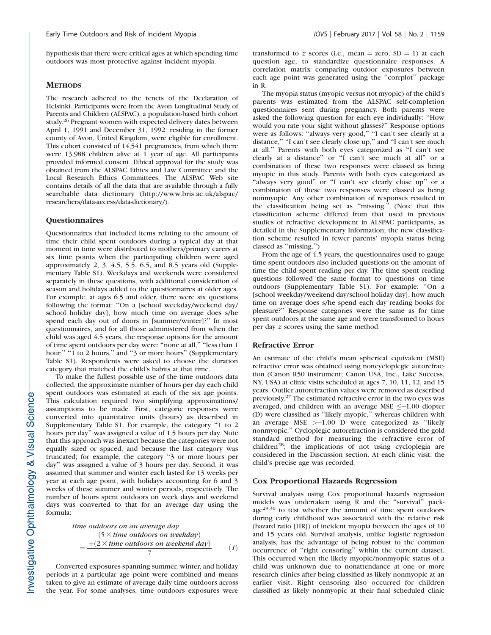hypothesis that there were critical ages at which spending time outdoors was most protective against incident myopia.

## **METHODS**

The research adhered to the tenets of the Declaration of Helsinki. Participants were from the Avon Longitudinal Study of Parents and Children (ALSPAC), a population-based birth cohort study.<sup>26</sup> Pregnant women with expected delivery dates between April 1, 1991 and December 31, 1992, residing in the former county of Avon, United Kingdom, were eligible for enrollment. This cohort consisted of 14,541 pregnancies, from which there were 13,988 children alive at 1 year of age. All participants provided informed consent. Ethical approval for the study was obtained from the ALSPAC Ethics and Law Committee and the Local Research Ethics Committees. The ALSPAC Web site contains details of all the data that are available through a fully searchable data dictionary (http://www.bris.ac.uk/alspac/ researchers/data-access/data-dictionary/).

## **Ouestionnaires**

Questionnaires that included items relating to the amount of time their child spent outdoors during a typical day at that moment in time were distributed to mothers/primary carers at six time points when the participating children were aged approximately 2, 3, 4.5, 5.5, 6.5, and 8.5 years old (Supplementary Table S1). Weekdays and weekends were considered separately in these questions, with additional consideration of season and holidays added to the questionnaires at older ages. For example, at ages 6.5 and older, there were six questions following the format: ''On a [school weekday/weekend day/ school holiday day], how much time on average does s/he spend each day out of doors in [summer/winter]?'' In most questionnaires, and for all those administered from when the child was aged 4.5 years, the response options for the amount of time spent outdoors per day were: ''none at all,'' ''less than 1 hour," "1 to 2 hours," and "3 or more hours" (Supplementary Table S1). Respondents were asked to choose the duration category that matched the child's habits at that time.

To make the fullest possible use of the time outdoors data collected, the approximate number of hours per day each child spent outdoors was estimated at each of the six age points. This calculation required two simplifying approximations/ assumptions to be made. First, categoric responses were converted into quantitative units (hours) as described in Supplementary Table S1. For example, the category ''1 to 2 hours per day'' was assigned a value of 1.5 hours per day. Note that this approach was inexact because the categories were not equally sized or spaced, and because the last category was truncated; for example, the category ''3 or more hours per day'' was assigned a value of 3 hours per day. Second, it was assumed that summer and winter each lasted for 13 weeks per year at each age point, with holidays accounting for 6 and 3 weeks of these summer and winter periods, respectively. The number of hours spent outdoors on week days and weekend days was converted to that for an average day using the formula:

> time outdoors on an average day  $=$  $(5 \times$  time outdoors on weekday)  $+(2 \times time \text{ outdoors on} \text{ weekend day})$  (1)

Converted exposures spanning summer, winter, and holiday periods at a particular age point were combined and means taken to give an estimate of average daily time outdoors across the year. For some analyses, time outdoors exposures were transformed to z scores (i.e., mean = zero,  $SD = 1$ ) at each question age, to standardize questionnaire responses. A correlation matrix comparing outdoor exposures between each age point was generated using the ''corrplot'' package in R.

The myopia status (myopic versus not myopic) of the child's parents was estimated from the ALSPAC self-completion questionnaires sent during pregnancy. Both parents were asked the following question for each eye individually: ''How would you rate your sight without glasses?'' Response options were as follows: "always very good," "I can't see clearly at a distance," "I can't see clearly close up," and "I can't see much at all.'' Parents with both eyes categorized as ''I can't see clearly at a distance'' or ''I can't see much at all'' or a combination of these two responses were classed as being myopic in this study. Parents with both eyes categorized as "always very good" or "I can't see clearly close up" or a combination of these two responses were classed as being nonmyopic. Any other combination of responses resulted in the classification being set as ''missing.'' (Note that this classification scheme differed from that used in previous studies of refractive development in ALSPAC participants, as detailed in the Supplementary Information; the new classification scheme resulted in fewer parents' myopia status being classed as ''missing.'')

From the age of 4.5 years, the questionnaires used to gauge time spent outdoors also included questions on the amount of time the child spent reading per day. The time spent reading questions followed the same format to questions on time outdoors (Supplementary Table S1). For example: ''On a [school weekday/weekend day/school holiday day], how much time on average does s/he spend each day reading books for pleasure?'' Response categories were the same as for time spent outdoors at the same age and were transformed to hours per day z scores using the same method.

## Refractive Error

An estimate of the child's mean spherical equivalent (MSE) refractive error was obtained using noncycloplegic autorefraction (Canon R50 instrument; Canon USA, Inc., Lake Success, NY, USA) at clinic visits scheduled at ages 7, 10, 11, 12, and 15 years. Outlier autorefraction values were removed as described previously.27 The estimated refractive error in the two eyes was averaged, and children with an average MSE  $\leq$  -1.00 diopter (D) were classified as ''likely myopic,'' whereas children with an average MSE  $>-1.00$  D were categorized as "likely nonmyopic.'' Cycloplegic autorefraction is considered the gold standard method for measuring the refractive error of children<sup>28</sup>; the implications of not using cycloplegia are considered in the Discussion section. At each clinic visit, the child's precise age was recorded.

## Cox Proportional Hazards Regression

Survival analysis using Cox proportional hazards regression models was undertaken using R and the ''survival'' pack $age<sup>29,30</sup>$  to test whether the amount of time spent outdoors during early childhood was associated with the relative risk (hazard ratio [HR]) of incident myopia between the ages of 10 and 15 years old. Survival analysis, unlike logistic regression analysis, has the advantage of being robust to the common occurrence of ''right censoring'' within the current dataset. This occurred when the likely myopic/nonmyopic status of a child was unknown due to nonattendance at one or more research clinics after being classified as likely nonmyopic at an earlier visit. Right censoring also occurred for children classified as likely nonmyopic at their final scheduled clinic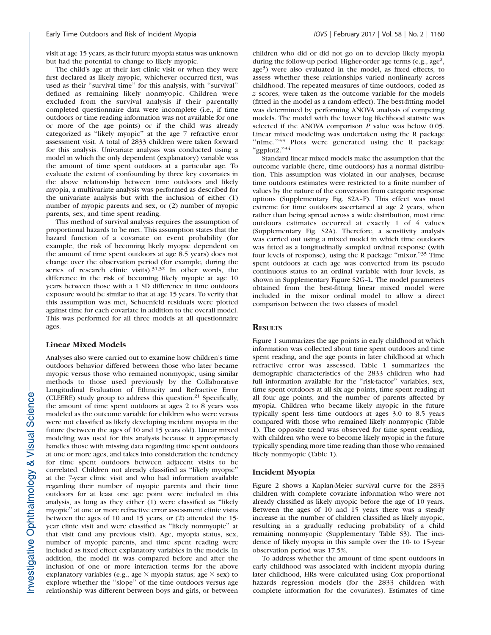visit at age 15 years, as their future myopia status was unknown but had the potential to change to likely myopic.

The child's age at their last clinic visit or when they were first declared as likely myopic, whichever occurred first, was used as their ''survival time'' for this analysis, with ''survival'' defined as remaining likely nonmyopic. Children were excluded from the survival analysis if their parentally completed questionnaire data were incomplete (i.e., if time outdoors or time reading information was not available for one or more of the age points) or if the child was already categorized as ''likely myopic'' at the age 7 refractive error assessment visit. A total of 2833 children were taken forward for this analysis. Univariate analysis was conducted using a model in which the only dependent (explanatory) variable was the amount of time spent outdoors at a particular age. To evaluate the extent of confounding by three key covariates in the above relationship between time outdoors and likely myopia, a multivariate analysis was performed as described for the univariate analysis but with the inclusion of either (1) number of myopic parents and sex, or (2) number of myopic parents, sex, and time spent reading.

This method of survival analysis requires the assumption of proportional hazards to be met. This assumption states that the hazard function of a covariate on event probability (for example, the risk of becoming likely myopic dependent on the amount of time spent outdoors at age 8.5 years) does not change over the observation period (for example, during the series of research clinic visits). $31,32$  In other words, the difference in the risk of becoming likely myopic at age 10 years between those with a 1 SD difference in time outdoors exposure would be similar to that at age 15 years. To verify that this assumption was met, Schoenfeld residuals were plotted against time for each covariate in addition to the overall model. This was performed for all three models at all questionnaire ages.

## Linear Mixed Models

Analyses also were carried out to examine how children's time outdoors behavior differed between those who later became myopic versus those who remained nonmyopic, using similar methods to those used previously by the Collaborative Longitudinal Evaluation of Ethnicity and Refractive Error (CLEERE) study group to address this question.<sup>21</sup> Specifically, the amount of time spent outdoors at ages 2 to 8 years was modeled as the outcome variable for children who were versus were not classified as likely developing incident myopia in the future (between the ages of 10 and 15 years old). Linear mixed modeling was used for this analysis because it appropriately handles those with missing data regarding time spent outdoors at one or more ages, and takes into consideration the tendency for time spent outdoors between adjacent visits to be correlated. Children not already classified as ''likely myopic'' at the 7-year clinic visit and who had information available regarding their number of myopic parents and their time outdoors for at least one age point were included in this analysis, as long as they either (1) were classified as ''likely myopic'' at one or more refractive error assessment clinic visits between the ages of 10 and 15 years, or (2) attended the 15 year clinic visit and were classified as ''likely nonmyopic'' at that visit (and any previous visit). Age, myopia status, sex, number of myopic parents, and time spent reading were included as fixed effect explanatory variables in the models. In addition, the model fit was compared before and after the inclusion of one or more interaction terms for the above explanatory variables (e.g., age  $\times$  myopia status; age  $\times$  sex) to explore whether the ''slope'' of the time outdoors versus age relationship was different between boys and girls, or between

children who did or did not go on to develop likely myopia during the follow-up period. Higher-order age terms (e.g.,  $age^2$ ,  $age<sup>3</sup>$ ) were also evaluated in the model, as fixed effects, to assess whether these relationships varied nonlinearly across childhood. The repeated measures of time outdoors, coded as z scores, were taken as the outcome variable for the models (fitted in the model as a random effect). The best-fitting model was determined by performing ANOVA analysis of competing models. The model with the lower log likelihood statistic was selected if the ANOVA comparison  $P$  value was below 0.05. Linear mixed modeling was undertaken using the R package "nlme."<sup>33</sup> Plots were generated using the R package ''ggplot2.''<sup>34</sup>

Standard linear mixed models make the assumption that the outcome variable (here, time outdoors) has a normal distribution. This assumption was violated in our analyses, because time outdoors estimates were restricted to a finite number of values by the nature of the conversion from categoric response options (Supplementary Fig. S2A–F). This effect was most extreme for time outdoors ascertained at age 2 years, when rather than being spread across a wide distribution, most time outdoors estimates occurred at exactly 1 of 4 values (Supplementary Fig. S2A). Therefore, a sensitivity analysis was carried out using a mixed model in which time outdoors was fitted as a longitudinally sampled ordinal response (with four levels of response), using the R package "mixor."<sup>35</sup> Time spent outdoors at each age was converted from its pseudo continuous status to an ordinal variable with four levels, as shown in Supplementary Figure S2G–L. The model parameters obtained from the best-fitting linear mixed model were included in the mixor ordinal model to allow a direct comparison between the two classes of model.

## **RESULTS**

Figure 1 summarizes the age points in early childhood at which information was collected about time spent outdoors and time spent reading, and the age points in later childhood at which refractive error was assessed. Table 1 summarizes the demographic characteristics of the 2833 children who had full information available for the "risk-factor" variables, sex, time spent outdoors at all six age points, time spent reading at all four age points, and the number of parents affected by myopia. Children who became likely myopic in the future typically spent less time outdoors at ages 3.0 to 8.5 years compared with those who remained likely nonmyopic (Table 1). The opposite trend was observed for time spent reading, with children who were to become likely myopic in the future typically spending more time reading than those who remained likely nonmyopic (Table 1).

#### Incident Myopia

Figure 2 shows a Kaplan-Meier survival curve for the 2833 children with complete covariate information who were not already classified as likely myopic before the age of 10 years. Between the ages of 10 and 15 years there was a steady increase in the number of children classified as likely myopic, resulting in a gradually reducing probability of a child remaining nonmyopic (Supplementary Table S3). The incidence of likely myopia in this sample over the 10- to 15-year observation period was 17.5%.

To address whether the amount of time spent outdoors in early childhood was associated with incident myopia during later childhood, HRs were calculated using Cox proportional hazards regression models (for the 2833 children with complete information for the covariates). Estimates of time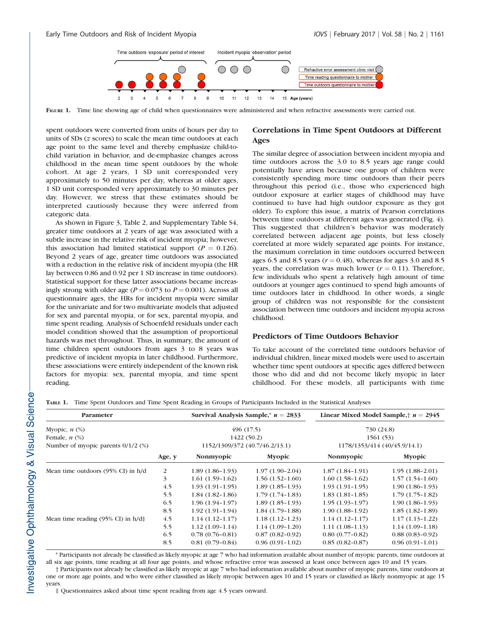## Early Time Outdoors and Risk of Incident Myopia IOVS in the VOVS greenuary 2017 | Vol. 58 | No. 2 | 1161



FIGURE 1. Time line showing age of child when questionnaires were administered and when refractive assessments were carried out.

spent outdoors were converted from units of hours per day to units of  $SDs$  ( $z$  scores) to scale the mean time outdoors at each age point to the same level and thereby emphasize child-tochild variation in behavior, and de-emphasize changes across childhood in the mean time spent outdoors by the whole cohort. At age 2 years, 1 SD unit corresponded very approximately to 50 minutes per day, whereas at older ages, 1 SD unit corresponded very approximately to 30 minutes per day. However, we stress that these estimates should be interpreted cautiously because they were inferred from categoric data.

As shown in Figure 3, Table 2, and Supplementary Table S4, greater time outdoors at 2 years of age was associated with a subtle increase in the relative risk of incident myopia; however, this association had limited statistical support ( $P = 0.126$ ). Beyond 2 years of age, greater time outdoors was associated with a reduction in the relative risk of incident myopia (the HR lay between 0.86 and 0.92 per 1 SD increase in time outdoors). Statistical support for these latter associations became increasingly strong with older age ( $P = 0.073$  to  $P = 0.001$ ). Across all questionnaire ages, the HRs for incident myopia were similar for the univariate and for two multivariate models that adjusted for sex and parental myopia, or for sex, parental myopia, and time spent reading. Analysis of Schoenfeld residuals under each model condition showed that the assumption of proportional hazards was met throughout. Thus, in summary, the amount of time children spent outdoors from ages 3 to 8 years was predictive of incident myopia in later childhood. Furthermore, these associations were entirely independent of the known risk factors for myopia: sex, parental myopia, and time spent reading.

## Correlations in Time Spent Outdoors at Different Ages

The similar degree of association between incident myopia and time outdoors across the 3.0 to 8.5 years age range could potentially have arisen because one group of children were consistently spending more time outdoors than their peers throughout this period (i.e., those who experienced high outdoor exposure at earlier stages of childhood may have continued to have had high outdoor exposure as they got older). To explore this issue, a matrix of Pearson correlations between time outdoors at different ages was generated (Fig. 4). This suggested that children's behavior was moderately correlated between adjacent age points, but less closely correlated at more widely separated age points. For instance, the maximum correlation in time outdoors occurred between ages 6.5 and 8.5 years ( $r = 0.48$ ), whereas for ages 3.0 and 8.5 years, the correlation was much lower ( $r = 0.11$ ). Therefore, few individuals who spent a relatively high amount of time outdoors at younger ages continued to spend high amounts of time outdoors later in childhood. In other words, a single group of children was not responsible for the consistent association between time outdoors and incident myopia across childhood.

## Predictors of Time Outdoors Behavior

To take account of the correlated time outdoors behavior of individual children, linear mixed models were used to ascertain whether time spent outdoors at specific ages differed between those who did and did not become likely myopic in later childhood. For these models, all participants with time

TABLE 1. Time Spent Outdoors and Time Spent Reading in Groups of Participants Included in the Statistical Analyses

| Parameter                                               |        | Survival Analysis Sample, <sup>*</sup> $n = 2833$ | Linear Mixed Model Sample, $\dagger$ n = 2945<br>730 (24.8)<br>1561 (53)<br>1178/1353/414 (40/45.9/14.1) |                     |                     |
|---------------------------------------------------------|--------|---------------------------------------------------|----------------------------------------------------------------------------------------------------------|---------------------|---------------------|
| Myopic, $n$ $(\%)$                                      |        | 496(17.5)                                         |                                                                                                          |                     |                     |
| Female, $n$ $(\%)$                                      |        | 1422 (50.2)                                       |                                                                                                          |                     |                     |
| Number of myopic parents $0/1/2$ (%)                    |        | 1152/1309/372 (40.7/46.2/13.1)                    |                                                                                                          |                     |                     |
|                                                         | Age, y | Nonmyopic                                         | Myopic                                                                                                   | Nonmyopic           | Myopic              |
| Mean time outdoors (95% CI) in h/d                      | 2      | $1.89(1.86-1.93)$                                 | $1.97(1.90-2.04)$                                                                                        | $1.87(1.84-1.91)$   | $1.95(1.88-2.01)$   |
|                                                         | 3      | $1.61(1.59-1.62)$                                 | $1.56(1.52 - 1.60)$                                                                                      | $1.60(1.58-1.62)$   | $1.57(1.54-1.60)$   |
|                                                         | 4.5    | $1.93(1.91-1.95)$                                 | $1.89(1.85-1.93)$                                                                                        | $1.93(1.91-1.95)$   | $1.90(1.86-1.93)$   |
|                                                         | 5.5    | $1.84(1.82 - 1.86)$                               | $1.79(1.74-1.83)$                                                                                        | $1.83(1.81-1.85)$   | $1.79(1.75-1.82)$   |
|                                                         | 6.5    | $1.96(1.94-1.97)$                                 | $1.89(1.85-1.93)$                                                                                        | $1.95(1.93 - 1.97)$ | $1.90(1.86-1.93)$   |
|                                                         | 8.5    | $1.92(1.91-1.94)$                                 | $1.84(1.79-1.88)$                                                                                        | $1.90(1.88-1.92)$   | $1.85(1.82 - 1.89)$ |
| Mean time reading $(95\% \text{ CI})$ in h/d $\ddagger$ | 4.5    | $1.14(1.12-1.17)$                                 | $1.18(1.12-1.23)$                                                                                        | $1.14(1.12 - 1.17)$ | $1.17(1.13-1.22)$   |
|                                                         | 5.5    | $1.12(1.09-1.14)$                                 | $1.14(1.09-1.20)$                                                                                        | $1.11(1.08-1.13)$   | $1.14(1.09-1.18)$   |
|                                                         | 6.5    | $0.78(0.76-0.81)$                                 | $0.87(0.82 - 0.92)$                                                                                      | $0.80(0.77-0.82)$   | $0.88(0.83 - 0.92)$ |
|                                                         | 8.5    | $0.81(0.79-0.84)$                                 | $0.96(0.91-1.02)$                                                                                        | $0.85(0.82 - 0.87)$ | $0.96(0.91 - 1.01)$ |

\* Participants not already be classified as likely myopic at age 7 who had information available about number of myopic parents, time outdoors at all six age points, time reading at all four age points, and whose refractive error was assessed at least once between ages 10 and 15 years. † Participants not already be classified as likely myopic at age 7 who had information available about number of myopic parents, time outdoors at

one or more age points, and who were either classified as likely myopic between ages 10 and 15 years or classified as likely nonmyopic at age 15 years.

‡ Questionnaires asked about time spent reading from age 4.5 years onward.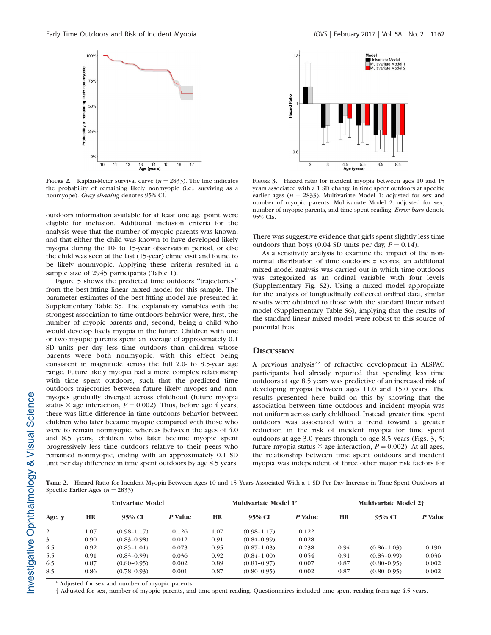

FIGURE 2. Kaplan-Meier survival curve ( $n = 2833$ ). The line indicates the probability of remaining likely nonmyopic (i.e., surviving as a nonmyope). Gray shading denotes 95% CI.

outdoors information available for at least one age point were eligible for inclusion. Additional inclusion criteria for the analysis were that the number of myopic parents was known, and that either the child was known to have developed likely myopia during the 10- to 15-year observation period, or else the child was seen at the last (15-year) clinic visit and found to be likely nonmyopic. Applying these criteria resulted in a sample size of 2945 participants (Table 1).

Figure 5 shows the predicted time outdoors ''trajectories'' from the best-fitting linear mixed model for this sample. The parameter estimates of the best-fitting model are presented in Supplementary Table S5. The explanatory variables with the strongest association to time outdoors behavior were, first, the number of myopic parents and, second, being a child who would develop likely myopia in the future. Children with one or two myopic parents spent an average of approximately 0.1 SD units per day less time outdoors than children whose parents were both nonmyopic, with this effect being consistent in magnitude across the full 2.0- to 8.5-year age range. Future likely myopia had a more complex relationship with time spent outdoors, such that the predicted time outdoors trajectories between future likely myopes and nonmyopes gradually diverged across childhood (future myopia status  $\times$  age interaction,  $P = 0.002$ ). Thus, before age 4 years, there was little difference in time outdoors behavior between children who later became myopic compared with those who were to remain nonmyopic, whereas between the ages of 4.0 and 8.5 years, children who later became myopic spent progressively less time outdoors relative to their peers who remained nonmyopic, ending with an approximately 0.1 SD unit per day difference in time spent outdoors by age 8.5 years.



FIGURE 3. Hazard ratio for incident myopia between ages 10 and 15 years associated with a 1 SD change in time spent outdoors at specific earlier ages ( $n = 2833$ ). Multivariate Model 1: adjusted for sex and number of myopic parents. Multivariate Model 2: adjusted for sex, number of myopic parents, and time spent reading. Error bars denote 95% CIs.

There was suggestive evidence that girls spent slightly less time outdoors than boys (0.04 SD units per day,  $P = 0.14$ ).

As a sensitivity analysis to examine the impact of the nonnormal distribution of time outdoors z scores, an additional mixed model analysis was carried out in which time outdoors was categorized as an ordinal variable with four levels (Supplementary Fig. S2). Using a mixed model appropriate for the analysis of longitudinally collected ordinal data, similar results were obtained to those with the standard linear mixed model (Supplementary Table S6), implying that the results of the standard linear mixed model were robust to this source of potential bias.

#### **DISCUSSION**

A previous analysis $22$  of refractive development in ALSPAC participants had already reported that spending less time outdoors at age 8.5 years was predictive of an increased risk of developing myopia between ages 11.0 and 15.0 years. The results presented here build on this by showing that the association between time outdoors and incident myopia was not uniform across early childhood. Instead, greater time spent outdoors was associated with a trend toward a greater reduction in the risk of incident myopia for time spent outdoors at age 3.0 years through to age 8.5 years (Figs. 3, 5; future myopia status  $\times$  age interaction,  $P = 0.002$ ). At all ages, the relationship between time spent outdoors and incident myopia was independent of three other major risk factors for

TABLE 2. Hazard Ratio for Incident Myopia Between Ages 10 and 15 Years Associated With a 1 SD Per Day Increase in Time Spent Outdoors at Specific Earlier Ages ( $n = 2833$ )

| Age, y | <b>Univariate Model</b> |                 |         | <b>Multivariate Model 1*</b> |                 |         | <b>Multivariate Model 2<sup>+</sup></b> |                 |         |
|--------|-------------------------|-----------------|---------|------------------------------|-----------------|---------|-----------------------------------------|-----------------|---------|
|        | <b>HR</b>               | 95% CI          | P Value | <b>HR</b>                    | 95% CI          | P Value | <b>HR</b>                               | 95% CI          | P Value |
| 2      | 1.07                    | $(0.98 - 1.17)$ | 0.126   | 1.07                         | $(0.98 - 1.17)$ | 0.122   |                                         |                 |         |
| 3      | 0.90                    | $(0.83 - 0.98)$ | 0.012   | 0.91                         | $(0.84 - 0.99)$ | 0.028   |                                         |                 |         |
| 4.5    | 0.92                    | $(0.85 - 1.01)$ | 0.073   | 0.95                         | $(0.87 - 1.03)$ | 0.238   | 0.94                                    | $(0.86 - 1.03)$ | 0.190   |
| 5.5    | 0.91                    | $(0.83 - 0.99)$ | 0.036   | 0.92                         | $(0.84 - 1.00)$ | 0.054   | 0.91                                    | $(0.83 - 0.99)$ | 0.036   |
| 6.5    | 0.87                    | $(0.80 - 0.95)$ | 0.002   | 0.89                         | $(0.81 - 0.97)$ | 0.007   | 0.87                                    | $(0.80 - 0.95)$ | 0.002   |
| 8.5    | 0.86                    | $(0.78 - 0.93)$ | 0.001   | 0.87                         | $(0.80 - 0.95)$ | 0.002   | 0.87                                    | $(0.80 - 0.95)$ | 0.002   |

\* Adjusted for sex and number of myopic parents.

† Adjusted for sex, number of myopic parents, and time spent reading. Questionnaires included time spent reading from age 4.5 years.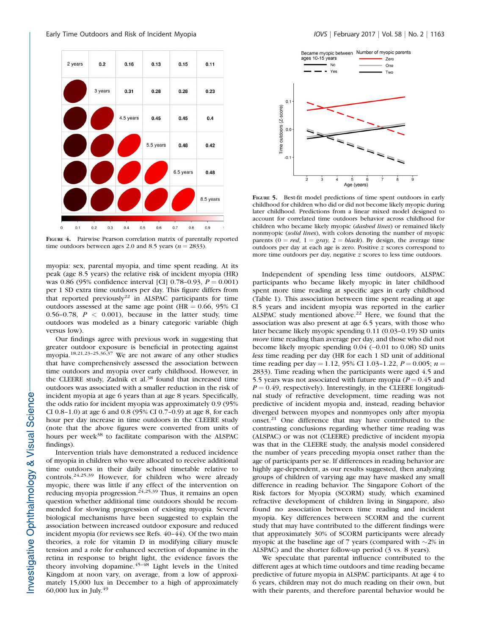

FIGURE 4. Pairwise Pearson correlation matrix of parentally reported time outdoors between ages 2.0 and 8.5 years ( $n = 2833$ ).

myopia: sex, parental myopia, and time spent reading. At its peak (age 8.5 years) the relative risk of incident myopia (HR) was 0.86 (95% confidence interval [CI] 0.78-0.93,  $P = 0.001$ ) per 1 SD extra time outdoors per day. This figure differs from that reported previously<sup>22</sup> in ALSPAC participants for time outdoors assessed at the same age point ( $HR = 0.66$ , 95% CI 0.56–0.78,  $P < 0.001$ ), because in the latter study, time outdoors was modeled as a binary categoric variable (high versus low).

Our findings agree with previous work in suggesting that greater outdoor exposure is beneficial in protecting against myopia.18,21,23–25,36,37 We are not aware of any other studies that have comprehensively assessed the association between time outdoors and myopia over early childhood. However, in the CLEERE study, Zadnik et al.<sup>38</sup> found that increased time outdoors was associated with a smaller reduction in the risk of incident myopia at age 6 years than at age 8 years. Specifically, the odds ratio for incident myopia was approximately 0.9 (95% CI 0.8–1.0) at age 6 and 0.8 (95% CI 0.7–0.9) at age 8, for each hour per day increase in time outdoors in the CLEERE study (note that the above figures were converted from units of hours per week<sup>38</sup> to facilitate comparison with the ALSPAC findings).

Intervention trials have demonstrated a reduced incidence of myopia in children who were allocated to receive additional time outdoors in their daily school timetable relative to controls.24,25,39 However, for children who were already myopic, there was little if any effect of the intervention on reducing myopia progression.<sup>24,25,39</sup> Thus, it remains an open question whether additional time outdoors should be recommended for slowing progression of existing myopia. Several biological mechanisms have been suggested to explain the association between increased outdoor exposure and reduced incident myopia (for reviews see Refs. 40–44). Of the two main theories, a role for vitamin D in modifying ciliary muscle tension and a role for enhanced secretion of dopamine in the retina in response to bright light, the evidence favors the theory involving dopamine.<sup>45-48</sup> Light levels in the United Kingdom at noon vary, on average, from a low of approximately 15,000 lux in December to a high of approximately 60,000 lux in July. $49$ 



FIGURE 5. Best-fit model predictions of time spent outdoors in early childhood for children who did or did not become likely myopic during later childhood. Predictions from a linear mixed model designed to account for correlated time outdoors behavior across childhood for children who became likely myopic (dashed lines) or remained likely nonmyopic (solid lines), with colors denoting the number of myopic parents (0 = red, 1 = gray, 2 = black). By design, the average time outdoors per day at each age is zero. Positive z scores correspond to more time outdoors per day, negative z scores to less time outdoors.

Independent of spending less time outdoors, ALSPAC participants who became likely myopic in later childhood spent more time reading at specific ages in early childhood (Table 1). This association between time spent reading at age 8.5 years and incident myopia was reported in the earlier ALSPAC study mentioned above.<sup>22</sup> Here, we found that the association was also present at age 6.5 years, with those who later became likely myopic spending 0.11 (0.03–0.19) SD units more time reading than average per day, and those who did not become likely myopic spending  $0.04$  ( $-0.01$  to 0.08) SD units less time reading per day (HR for each 1 SD unit of additional time reading per day = 1.12, 95% CI 1.03-1.22,  $P = 0.005$ ;  $n =$ 2833). Time reading when the participants were aged 4.5 and 5.5 years was not associated with future myopia ( $P = 0.45$  and  $P = 0.49$ , respectively). Interestingly, in the CLEERE longitudinal study of refractive development, time reading was not predictive of incident myopia and, instead, reading behavior diverged between myopes and nonmyopes only after myopia onset.21 One difference that may have contributed to the contrasting conclusions regarding whether time reading was (ALSPAC) or was not (CLEERE) predictive of incident myopia was that in the CLEERE study, the analysis model considered the number of years preceding myopia onset rather than the age of participants per se. If differences in reading behavior are highly age-dependent, as our results suggested, then analyzing groups of children of varying age may have masked any small difference in reading behavior. The Singapore Cohort of the Risk factors for Myopia (SCORM) study, which examined refractive development of children living in Singapore, also found no association between time reading and incident myopia. Key differences between SCORM and the current study that may have contributed to the different findings were that approximately 30% of SCORM participants were already myopic at the baseline age of 7 years (compared with  $\sim$ 2% in ALSPAC) and the shorter follow-up period (3 vs. 8 years).

We speculate that parental influence contributed to the different ages at which time outdoors and time reading became predictive of future myopia in ALSPAC participants. At age 4 to 6 years, children may not do much reading on their own, but with their parents, and therefore parental behavior would be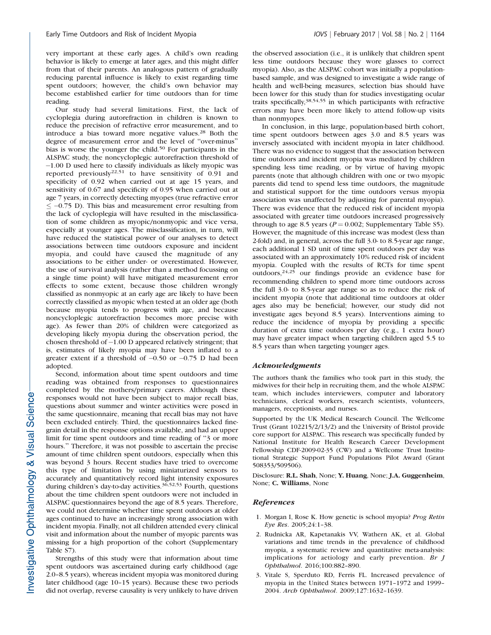very important at these early ages. A child's own reading behavior is likely to emerge at later ages, and this might differ from that of their parents. An analogous pattern of gradually reducing parental influence is likely to exist regarding time spent outdoors; however, the child's own behavior may become established earlier for time outdoors than for time reading.

Our study had several limitations. First, the lack of cycloplegia during autorefraction in children is known to reduce the precision of refractive error measurement, and to introduce a bias toward more negative values.<sup>28</sup> Both the degree of measurement error and the level of ''over-minus'' bias is worse the younger the child.<sup>50</sup> For participants in the ALSPAC study, the noncycloplegic autorefraction threshold of 1.00 D used here to classify individuals as likely myopic was reported previously<sup>22,51</sup> to have sensitivity of 0.91 and specificity of 0.92 when carried out at age 15 years, and sensitivity of 0.67 and specificity of 0.95 when carried out at age 7 years, in correctly detecting myopes (true refractive error  $\le$  -0.75 D). This bias and measurement error resulting from the lack of cycloplegia will have resulted in the misclassification of some children as myopic/nonmyopic and vice versa, especially at younger ages. The misclassification, in turn, will have reduced the statistical power of our analyses to detect associations between time outdoors exposure and incident myopia, and could have caused the magnitude of any associations to be either under- or overestimated. However, the use of survival analysis (rather than a method focussing on a single time point) will have mitigated measurement error effects to some extent, because those children wrongly classified as nonmyopic at an early age are likely to have been correctly classified as myopic when tested at an older age (both because myopia tends to progress with age, and because noncycloplegic autorefraction becomes more precise with age). As fewer than 20% of children were categorized as developing likely myopia during the observation period, the chosen threshold of  $-1.00$  D appeared relatively stringent; that is, estimates of likely myopia may have been inflated to a greater extent if a threshold of  $-0.50$  or  $-0.75$  D had been adopted.

Second, information about time spent outdoors and time reading was obtained from responses to questionnaires completed by the mothers/primary carers. Although these responses would not have been subject to major recall bias, questions about summer and winter activities were posed in the same questionnaire, meaning that recall bias may not have been excluded entirely. Third, the questionnaires lacked finegrain detail in the response options available, and had an upper limit for time spent outdoors and time reading of ''3 or more hours.'' Therefore, it was not possible to ascertain the precise amount of time children spent outdoors, especially when this was beyond 3 hours. Recent studies have tried to overcome this type of limitation by using miniaturized sensors to accurately and quantitatively record light intensity exposures during children's day-to-day activities.<sup>36,52,53</sup> Fourth, questions about the time children spent outdoors were not included in ALSPAC questionnaires beyond the age of 8.5 years. Therefore, we could not determine whether time spent outdoors at older ages continued to have an increasingly strong association with incident myopia. Finally, not all children attended every clinical visit and information about the number of myopic parents was missing for a high proportion of the cohort (Supplementary Table S7).

Strengths of this study were that information about time spent outdoors was ascertained during early childhood (age 2.0–8.5 years), whereas incident myopia was monitored during later childhood (age 10–15 years). Because these two periods did not overlap, reverse causality is very unlikely to have driven

the observed association (i.e., it is unlikely that children spent less time outdoors because they wore glasses to correct myopia). Also, as the ALSPAC cohort was initially a populationbased sample, and was designed to investigate a wide range of health and well-being measures, selection bias should have been lower for this study than for studies investigating ocular traits specifically,38,54,55 in which participants with refractive errors may have been more likely to attend follow-up visits than nonmyopes.

In conclusion, in this large, population-based birth cohort, time spent outdoors between ages 3.0 and 8.5 years was inversely associated with incident myopia in later childhood. There was no evidence to suggest that the association between time outdoors and incident myopia was mediated by children spending less time reading, or by virtue of having myopic parents (note that although children with one or two myopic parents did tend to spend less time outdoors, the magnitude and statistical support for the time outdoors versus myopia association was unaffected by adjusting for parental myopia). There was evidence that the reduced risk of incident myopia associated with greater time outdoors increased progressively through to age 8.5 years ( $P = 0.002$ ; Supplementary Table S5). However, the magnitude of this increase was modest (less than 2-fold) and, in general, across the full 3.0- to 8.5-year age range, each additional 1 SD unit of time spent outdoors per day was associated with an approximately 10% reduced risk of incident myopia. Coupled with the results of RCTs for time spent outdoors,24,25 our findings provide an evidence base for recommending children to spend more time outdoors across the full 3.0- to 8.5-year age range so as to reduce the risk of incident myopia (note that additional time outdoors at older ages also may be beneficial; however, our study did not investigate ages beyond 8.5 years). Interventions aiming to reduce the incidence of myopia by providing a specific duration of extra time outdoors per day (e.g., 1 extra hour) may have greater impact when targeting children aged 5.5 to 8.5 years than when targeting younger ages.

#### Acknowledgments

The authors thank the families who took part in this study, the midwives for their help in recruiting them, and the whole ALSPAC team, which includes interviewers, computer and laboratory technicians, clerical workers, research scientists, volunteers, managers, receptionists, and nurses.

Supported by the UK Medical Research Council. The Wellcome Trust (Grant 102215/2/13/2) and the University of Bristol provide core support for ALSPAC. This research was specifically funded by National Institute for Health Research Career Development Fellowship CDF-2009-02-35 (CW) and a Wellcome Trust Institutional Strategic Support Fund Populations Pilot Award (Grant 508353/509506).

Disclosure: R.L. Shah, None; Y. Huang, None; J.A. Guggenheim, None; C. Williams, None

#### References

- 1. Morgan I, Rose K. How genetic is school myopia? Prog Retin Eye Res. 2005;24:1–38.
- 2. Rudnicka AR, Kapetanakis VV, Wathern AK, et al. Global variations and time trends in the prevalence of childhood myopia, a systematic review and quantitative meta-analysis: implications for aetiology and early prevention. Br J Ophthalmol. 2016;100:882–890.
- 3. Vitale S, Sperduto RD, Ferris FL. Increased prevalence of myopia in the United States between 1971–1972 and 1999– 2004. Arch Ophthalmol. 2009;127:1632–1639.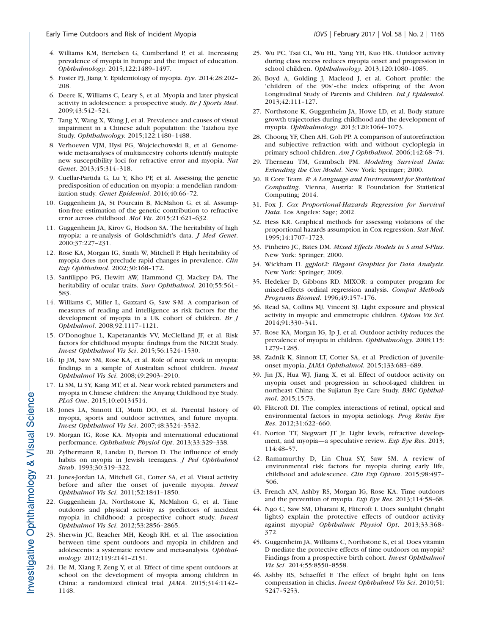- 4. Williams KM, Bertelsen G, Cumberland P, et al. Increasing prevalence of myopia in Europe and the impact of education. Ophthalmology. 2015;122:1489–1497.
- 5. Foster PJ, Jiang Y. Epidemiology of myopia. Eye. 2014;28:202– 208.
- 6. Deere K, Williams C, Leary S, et al. Myopia and later physical activity in adolescence: a prospective study. Br J Sports Med. 2009;43:542–524.
- 7. Tang Y, Wang X, Wang J, et al. Prevalence and causes of visual impairment in a Chinese adult population: the Taizhou Eye Study. Ophthalmology. 2015;122:1480–1488.
- 8. Verhoeven VJM, Hysi PG, Wojciechowski R, et al. Genomewide meta-analyses of multiancestry cohorts identify multiple new susceptibility loci for refractive error and myopia. Nat Genet. 2013;45:314–318.
- 9. Cuellar-Partida G, Lu Y, Kho PF, et al. Assessing the genetic predisposition of education on myopia: a mendelian randomization study. Genet Epidemiol. 2016;40:66–72.
- 10. Guggenheim JA, St Pourcain B, McMahon G, et al. Assumption-free estimation of the genetic contribution to refractive error across childhood. Mol Vis. 2015;21:621–632.
- 11. Guggenheim JA, Kirov G, Hodson SA. The heritability of high myopia: a re-analysis of Goldschmidt's data. J Med Genet. 2000;37:227–231.
- 12. Rose KA, Morgan IG, Smith W, Mitchell P. High heritability of myopia does not preclude rapid changes in prevalence. Clin Exp Ophthalmol. 2002;30:168–172.
- 13. Sanfilippo PG, Hewitt AW, Hammond CJ, Mackey DA. The heritability of ocular traits. Surv Ophthalmol. 2010;55:561-583.
- 14. Williams C, Miller L, Gazzard G, Saw S-M. A comparison of measures of reading and intelligence as risk factors for the development of myopia in a UK cohort of children. Br J Ophthalmol. 2008;92:1117–1121.
- 15. O'Donoghue L, Kapetanankis VV, McClelland JF, et al. Risk factors for childhood myopia: findings from the NICER Study. Invest Ophthalmol Vis Sci. 2015;56:1524–1530.
- 16. Ip JM, Saw SM, Rose KA, et al. Role of near work in myopia: findings in a sample of Australian school children. Invest Ophthalmol Vis Sci. 2008;49:2903–2910.
- 17. Li SM, Li SY, Kang MT, et al. Near work related parameters and myopia in Chinese children: the Anyang Childhood Eye Study. PLoS One. 2015;10:e0134514.
- 18. Jones LA, Sinnott LT, Mutti DO, et al. Parental history of myopia, sports and outdoor activities, and future myopia. Invest Ophthalmol Vis Sci. 2007;48:3524–3532.
- 19. Morgan IG, Rose KA. Myopia and international educational performance. Ophthalmic Physiol Opt. 2013;33:329–338.
- 20. Zylbermann R, Landau D, Berson D. The influence of study habits on myopia in Jewish teenagers. J Ped Ophthalmol Strab. 1993;30:319–322.
- 21. Jones-Jordan LA, Mitchell GL, Cotter SA, et al. Visual activity before and after the onset of juvenile myopia. Invest Ophthalmol Vis Sci. 2011;52:1841–1850.
- 22. Guggenheim JA, Northstone K, McMahon G, et al. Time outdoors and physical activity as predictors of incident myopia in childhood: a prospective cohort study. Invest Ophthalmol Vis Sci. 2012;53:2856–2865.
- 23. Sherwin JC, Reacher MH, Keogh RH, et al. The association between time spent outdoors and myopia in children and adolescents: a systematic review and meta-analysis. Ophthalmology. 2012;119:2141–2151.
- 24. He M, Xiang F, Zeng Y, et al. Effect of time spent outdoors at school on the development of myopia among children in China: a randomized clinical trial. JAMA. 2015;314:1142– 1148.
- 25. Wu PC, Tsai CL, Wu HL, Yang YH, Kuo HK. Outdoor activity during class recess reduces myopia onset and progression in school children. Ophthalmology. 2013;120:1080–1085.
- 26. Boyd A, Golding J, Macleod J, et al. Cohort profile: the 'children of the 90s'–the index offspring of the Avon Longitudinal Study of Parents and Children. Int J Epidemiol. 2013;42:111–127.
- 27. Northstone K, Guggenheim JA, Howe LD, et al. Body stature growth trajectories during childhood and the development of myopia. Ophthalmology. 2013;120:1064–1073.
- 28. Choong YF, Chen AH, Goh PP. A comparison of autorefraction and subjective refraction with and without cycloplegia in primary school children. Am J Ophthalmol. 2006;142:68–74.
- 29. Therneau TM, Grambsch PM. Modeling Survival Data: Extending the Cox Model. New York: Springer; 2000.
- 30. R Core Team. R: A Language and Environment for Statistical Computing. Vienna, Austria: R Foundation for Statistical Computing; 2014.
- 31. Fox J. Cox Proportional-Hazards Regression for Survival Data. Los Angeles: Sage; 2002.
- 32. Hess KR. Graphical methods for assessing violations of the proportional hazards assumption in Cox regression. Stat Med. 1995;14:1707–1723.
- 33. Pinheiro JC, Bates DM. Mixed Effects Models in S and S-Plus. New York: Springer; 2000.
- 34. Wickham H. ggplot2: Elegant Graphics for Data Analysis. New York: Springer; 2009.
- 35. Hedeker D, Gibbons RD. MIXOR: a computer program for mixed-effects ordinal regression analysis. Comput Methods Programs Biomed. 1996;49:157–176.
- 36. Read SA, Collins MJ, Vincent SJ. Light exposure and physical activity in myopic and emmetropic children. Optom Vis Sci. 2014;91:330–341.
- 37. Rose KA, Morgan IG, Ip J, et al. Outdoor activity reduces the prevalence of myopia in children. Ophthalmology. 2008;115: 1279–1285.
- 38. Zadnik K, Sinnott LT, Cotter SA, et al. Prediction of juvenileonset myopia. JAMA Ophthalmol. 2015;133:683–689.
- 39. Jin JX, Hua WJ, Jiang X, et al. Effect of outdoor activity on myopia onset and progression in school-aged children in northeast China: the Sujiatun Eye Care Study. BMC Ophthalmol. 2015;15:73.
- 40. Flitcroft DI. The complex interactions of retinal, optical and environmental factors in myopia aetiology. Prog Retin Eye Res. 2012;31:622–660.
- 41. Norton TT, Siegwart JT Jr. Light levels, refractive development, and myopia—a speculative review. Exp Eye Res. 2013; 114:48–57.
- 42. Ramamurthy D, Lin Chua SY, Saw SM. A review of environmental risk factors for myopia during early life, childhood and adolescence. Clin Exp Optom. 2015;98:497– 506.
- 43. French AN, Ashby RS, Morgan IG, Rose KA. Time outdoors and the prevention of myopia. Exp Eye Res. 2013;114:58–68.
- 44. Ngo C, Saw SM, Dharani R, Flitcroft I. Does sunlight (bright lights) explain the protective effects of outdoor activity against myopia? Ophthalmic Physiol Opt. 2013;33:368– 372.
- 45. Guggenheim JA, Williams C, Northstone K, et al. Does vitamin D mediate the protective effects of time outdoors on myopia? Findings from a prospective birth cohort. Invest Ophthalmol Vis Sci. 2014;55:8550–8558.
- 46. Ashby RS, Schaeffel F. The effect of bright light on lens compensation in chicks. Invest Ophthalmol Vis Sci. 2010;51: 5247–5253.